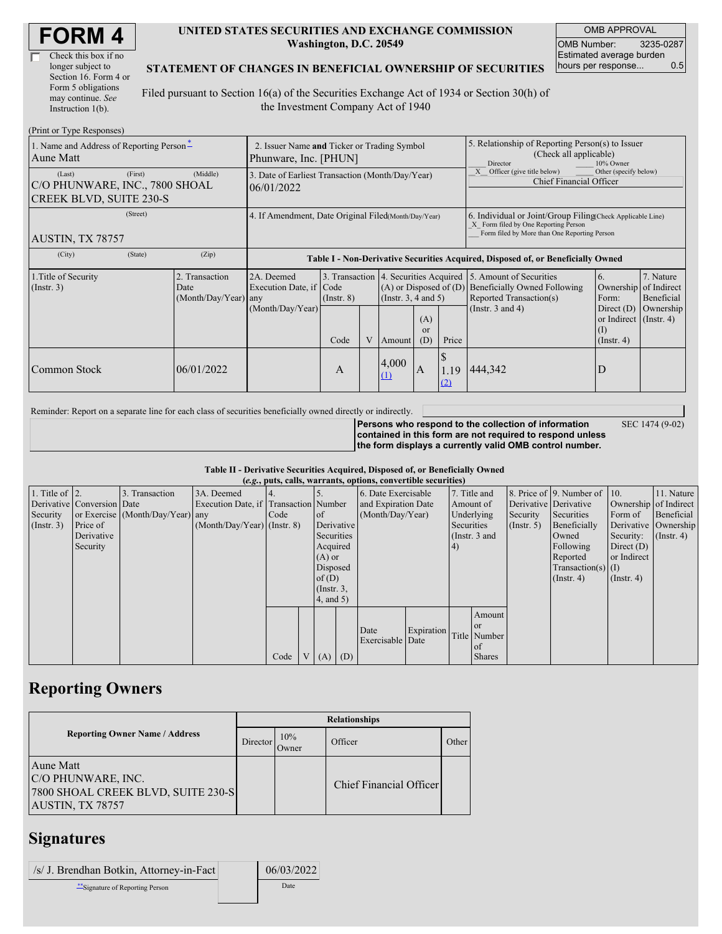| <b>FORM4</b> |
|--------------|
|--------------|

| Check this box if no  |
|-----------------------|
| longer subject to     |
| Section 16. Form 4 or |
| Form 5 obligations    |
| may continue. See     |
| Instruction 1(b).     |

#### **UNITED STATES SECURITIES AND EXCHANGE COMMISSION Washington, D.C. 20549**

OMB APPROVAL OMB Number: 3235-0287 Estimated average burden hours per response... 0.5

#### **STATEMENT OF CHANGES IN BENEFICIAL OWNERSHIP OF SECURITIES**

Filed pursuant to Section 16(a) of the Securities Exchange Act of 1934 or Section 30(h) of the Investment Company Act of 1940

| (Print or Type Responses)                                                             |                                                                                           |                                                           |                                   |  |                                                                                     |                  |                                                                                                            |                                                                                                                                                    |                                                                                    |                                                     |  |
|---------------------------------------------------------------------------------------|-------------------------------------------------------------------------------------------|-----------------------------------------------------------|-----------------------------------|--|-------------------------------------------------------------------------------------|------------------|------------------------------------------------------------------------------------------------------------|----------------------------------------------------------------------------------------------------------------------------------------------------|------------------------------------------------------------------------------------|-----------------------------------------------------|--|
| 1. Name and Address of Reporting Person-<br>Aune Matt                                 | 2. Issuer Name and Ticker or Trading Symbol<br>Phunware, Inc. [PHUN]                      |                                                           |                                   |  |                                                                                     |                  | 5. Relationship of Reporting Person(s) to Issuer<br>(Check all applicable)<br>10% Owner<br><b>Director</b> |                                                                                                                                                    |                                                                                    |                                                     |  |
| (First)<br>(Last)<br>C/O PHUNWARE, INC., 7800 SHOAL<br><b>CREEK BLVD, SUITE 230-S</b> | 3. Date of Earliest Transaction (Month/Day/Year)<br>06/01/2022                            |                                                           |                                   |  |                                                                                     |                  | Officer (give title below)<br>Other (specify below)<br><b>Chief Financial Officer</b>                      |                                                                                                                                                    |                                                                                    |                                                     |  |
| (Street)<br>AUSTIN, TX 78757                                                          |                                                                                           | 4. If Amendment, Date Original Filed(Month/Day/Year)      |                                   |  |                                                                                     |                  |                                                                                                            | 6. Individual or Joint/Group Filing Check Applicable Line)<br>X Form filed by One Reporting Person<br>Form filed by More than One Reporting Person |                                                                                    |                                                     |  |
| (City)<br>(State)                                                                     | (Zip)<br>Table I - Non-Derivative Securities Acquired, Disposed of, or Beneficially Owned |                                                           |                                   |  |                                                                                     |                  |                                                                                                            |                                                                                                                                                    |                                                                                    |                                                     |  |
| 1. Title of Security<br>(Insert. 3)                                                   | 2. Transaction<br>Date<br>$(Month/Day/Year)$ any                                          | 2A. Deemed<br>Execution Date, if Code<br>(Month/Day/Year) | 3. Transaction<br>$($ Instr. $8)$ |  | 4. Securities Acquired<br>$(A)$ or Disposed of $(D)$<br>(Insert. 3, 4 and 5)<br>(A) |                  |                                                                                                            | 5. Amount of Securities<br><b>Beneficially Owned Following</b><br>Reported Transaction(s)<br>(Instr. $3$ and $4$ )                                 | 6.<br>Ownership<br>Form:<br>Direct $(D)$<br>or Indirect $($ Instr. 4)<br>$\rm (1)$ | 7. Nature<br>of Indirect<br>Beneficial<br>Ownership |  |
|                                                                                       |                                                                                           |                                                           | Code                              |  | Amount                                                                              | <b>or</b><br>(D) | Price                                                                                                      |                                                                                                                                                    | $($ Instr. 4 $)$                                                                   |                                                     |  |
| Common Stock                                                                          | 06/01/2022                                                                                |                                                           | A                                 |  | 4,000<br>(1)                                                                        | A                | 1.19<br>(2)                                                                                                | 444,342                                                                                                                                            | D                                                                                  |                                                     |  |

Reminder: Report on a separate line for each class of securities beneficially owned directly or indirectly.

**Persons who respond to the collection of information contained in this form are not required to respond unless the form displays a currently valid OMB control number.** SEC 1474 (9-02)

**Table II - Derivative Securities Acquired, Disposed of, or Beneficially Owned (***e.g.***, puts, calls, warrants, options, convertible securities)**

|                        | $(c, \zeta, \mu, \zeta)$ cans, warrants, options, convertible securities) |                                  |                                       |      |  |                 |            |                     |            |                  |               |            |                              |                       |               |                       |                      |
|------------------------|---------------------------------------------------------------------------|----------------------------------|---------------------------------------|------|--|-----------------|------------|---------------------|------------|------------------|---------------|------------|------------------------------|-----------------------|---------------|-----------------------|----------------------|
| 1. Title of $\vert$ 2. |                                                                           | 3. Transaction                   | 3A. Deemed                            |      |  |                 |            | 6. Date Exercisable |            |                  | 7. Title and  |            | 8. Price of 9. Number of 10. |                       | 11. Nature    |                       |                      |
|                        | Derivative Conversion Date                                                |                                  | Execution Date, if Transaction Number |      |  |                 |            | and Expiration Date |            |                  |               | Amount of  |                              | Derivative Derivative |               | Ownership of Indirect |                      |
| Security               |                                                                           | or Exercise (Month/Day/Year) any |                                       | Code |  | of              |            |                     |            | (Month/Day/Year) |               |            | Underlying                   | Security              | Securities    | Form of               | Beneficial           |
| (Insert. 3)            | Price of                                                                  |                                  | $(Month/Day/Year)$ (Instr. 8)         |      |  |                 | Derivative |                     |            |                  |               | Securities |                              | $($ Instr. 5)         | Beneficially  |                       | Derivative Ownership |
|                        | Derivative                                                                |                                  |                                       |      |  | Securities      |            |                     |            |                  | (Instr. 3 and |            | Owned                        | Security:             | $($ Instr. 4) |                       |                      |
|                        | Security                                                                  |                                  |                                       |      |  | Acquired        |            |                     |            | 4)               |               |            | Following                    | Direct $(D)$          |               |                       |                      |
|                        |                                                                           |                                  |                                       |      |  | $(A)$ or        |            |                     |            |                  |               |            | Reported                     | or Indirect           |               |                       |                      |
|                        |                                                                           |                                  |                                       |      |  | Disposed        |            |                     |            |                  |               |            | $Transaction(s)$ (I)         |                       |               |                       |                      |
|                        |                                                                           |                                  |                                       |      |  | of(D)           |            |                     |            |                  |               |            | $($ Instr. 4 $)$             | $($ Instr. 4 $)$      |               |                       |                      |
|                        |                                                                           |                                  |                                       |      |  | $($ Instr. 3,   |            |                     |            |                  |               |            |                              |                       |               |                       |                      |
|                        |                                                                           |                                  |                                       |      |  | $4$ , and $5$ ) |            |                     |            |                  |               |            |                              |                       |               |                       |                      |
|                        |                                                                           |                                  |                                       |      |  |                 |            |                     |            |                  | Amount        |            |                              |                       |               |                       |                      |
|                        |                                                                           |                                  |                                       |      |  |                 |            | Date                | Expiration |                  | <sub>or</sub> |            |                              |                       |               |                       |                      |
|                        |                                                                           |                                  |                                       |      |  |                 |            | Exercisable Date    |            |                  | Title Number  |            |                              |                       |               |                       |                      |
|                        |                                                                           |                                  |                                       |      |  |                 |            |                     |            |                  | $\alpha$ f    |            |                              |                       |               |                       |                      |
|                        |                                                                           |                                  |                                       | Code |  | V(A)            | (D)        |                     |            |                  | <b>Shares</b> |            |                              |                       |               |                       |                      |

## **Reporting Owners**

|                                                                                           | <b>Relationships</b> |              |                         |       |  |  |  |  |  |
|-------------------------------------------------------------------------------------------|----------------------|--------------|-------------------------|-------|--|--|--|--|--|
| <b>Reporting Owner Name / Address</b>                                                     | Director             | 10%<br>Owner | Officer                 | Other |  |  |  |  |  |
| Aune Matt<br>C/O PHUNWARE, INC.<br>7800 SHOAL CREEK BLVD, SUITE 230-S<br>AUSTIN, TX 78757 |                      |              | Chief Financial Officer |       |  |  |  |  |  |

### **Signatures**

| /s/ J. Brendhan Botkin, Attorney-in-Fact | 06/03/2022 |  |  |
|------------------------------------------|------------|--|--|
| Signature of Reporting Person            | Date       |  |  |